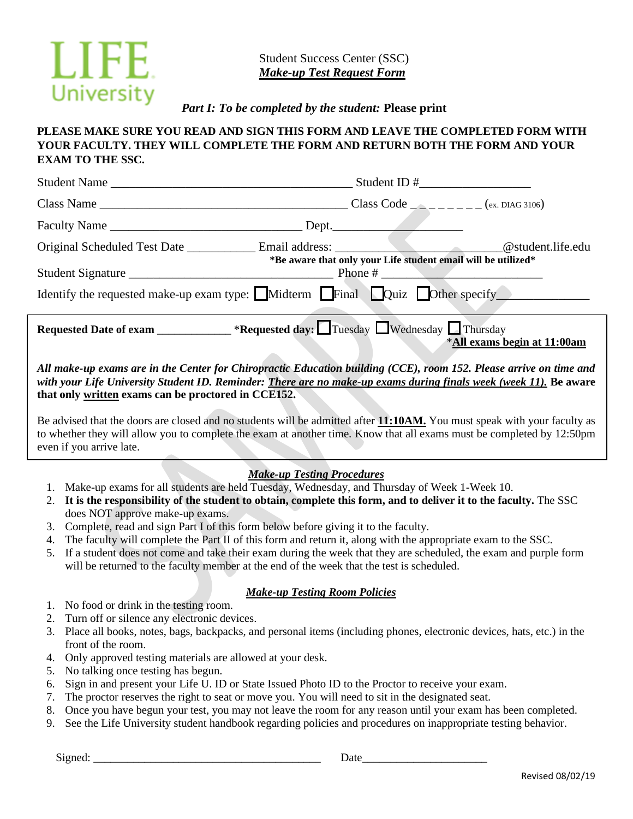

 Student Success Center (SSC)  *Make-up Test Request Form*

*Part I: To be completed by the student:* **Please print**

# **PLEASE MAKE SURE YOU READ AND SIGN THIS FORM AND LEAVE THE COMPLETED FORM WITH YOUR FACULTY. THEY WILL COMPLETE THE FORM AND RETURN BOTH THE FORM AND YOUR EXAM TO THE SSC.**

| Student Name                                                                                                  |                                                               |                             |
|---------------------------------------------------------------------------------------------------------------|---------------------------------------------------------------|-----------------------------|
|                                                                                                               |                                                               |                             |
|                                                                                                               |                                                               |                             |
| Original Scheduled Test Date _____________ Email address: ________________________@student.life.edu           |                                                               |                             |
|                                                                                                               | *Be aware that only your Life student email will be utilized* |                             |
|                                                                                                               |                                                               |                             |
| Identify the requested make-up exam type: $\Box$ Midterm $\Box$ Final $\Box$ Quiz $\Box$ Other specify $\Box$ |                                                               |                             |
| <b>Requested Date of exam ______________ *Requested day:</b> Tuesday Nednesday IThursday                      |                                                               | *All exams begin at 11:00am |

*All make-up exams are in the Center for Chiropractic Education building (CCE), room 152. Please arrive on time and with your Life University Student ID. Reminder: There are no make-up exams during finals week (week 11).* **Be aware that only written exams can be proctored in CCE152.**

Be advised that the doors are closed and no students will be admitted after **11:10AM.** You must speak with your faculty as to whether they will allow you to complete the exam at another time. Know that all exams must be completed by 12:50pm even if you arrive late.

# *Make-up Testing Procedures*

- 1. Make-up exams for all students are held Tuesday, Wednesday, and Thursday of Week 1-Week 10.
- 2. **It is the responsibility of the student to obtain, complete this form, and to deliver it to the faculty.** The SSC does NOT approve make-up exams.
- 3. Complete, read and sign Part I of this form below before giving it to the faculty.
- 4. The faculty will complete the Part II of this form and return it, along with the appropriate exam to the SSC.
- 5. If a student does not come and take their exam during the week that they are scheduled, the exam and purple form will be returned to the faculty member at the end of the week that the test is scheduled.

### *Make-up Testing Room Policies*

- 1. No food or drink in the testing room.
- 2. Turn off or silence any electronic devices.
- 3. Place all books, notes, bags, backpacks, and personal items (including phones, electronic devices, hats, etc.) in the front of the room.
- 4. Only approved testing materials are allowed at your desk.
- 5. No talking once testing has begun.
- 6. Sign in and present your Life U. ID or State Issued Photo ID to the Proctor to receive your exam.
- 7. The proctor reserves the right to seat or move you. You will need to sit in the designated seat.
- 8. Once you have begun your test, you may not leave the room for any reason until your exam has been completed.
- 9. See the Life University student handbook regarding policies and procedures on inappropriate testing behavior.

Signed: Date